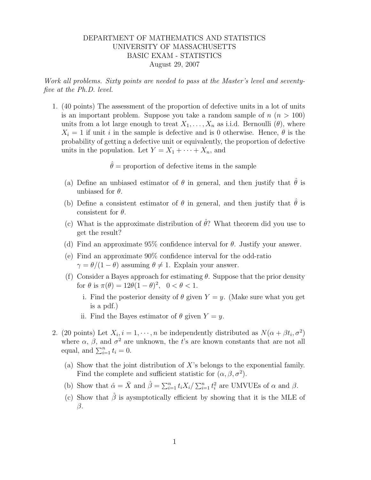## DEPARTMENT OF MATHEMATICS AND STATISTICS UNIVERSITY OF MASSACHUSETTS BASIC EXAM - STATISTICS August 29, 2007

Work all problems. Sixty points are needed to pass at the Master's level and seventyfive at the Ph.D. level.

1. (40 points) The assessment of the proportion of defective units in a lot of units is an important problem. Suppose you take a random sample of  $n (n > 100)$ units from a lot large enough to treat  $X_1, \ldots, X_n$  as i.i.d. Bernoulli  $(\theta)$ , where  $X_i = 1$  if unit i in the sample is defective and is 0 otherwise. Hence,  $\theta$  is the probability of getting a defective unit or equivalently, the proportion of defective units in the population. Let  $Y = X_1 + \cdots + X_n$ , and

 $\hat{\theta}$  = proportion of defective items in the sample

- (a) Define an unbiased estimator of  $\theta$  in general, and then justify that  $\hat{\theta}$  is unbiased for  $\theta$ .
- (b) Define a consistent estimator of  $\theta$  in general, and then justify that  $\hat{\theta}$  is consistent for  $\theta$ .
- (c) What is the approximate distribution of  $\hat{\theta}$ ? What theorem did you use to get the result?
- (d) Find an approximate  $95\%$  confidence interval for  $\theta$ . Justify your answer.
- (e) Find an approximate 90% confidence interval for the odd-ratio  $\gamma = \theta/(1 - \theta)$  assuming  $\theta \neq 1$ . Explain your answer.
- (f) Consider a Bayes approach for estimating  $\theta$ . Suppose that the prior density for  $\theta$  is  $\pi(\theta) = 12\theta(1-\theta)^2$ ,  $0 < \theta < 1$ .
	- i. Find the posterior density of  $\theta$  given  $Y = y$ . (Make sure what you get is a pdf.)
	- ii. Find the Bayes estimator of  $\theta$  given  $Y = y$ .
- 2. (20 points) Let  $X_i$ ,  $i = 1, \dots, n$  be independently distributed as  $N(\alpha + \beta t_i, \sigma^2)$ where  $\alpha$ ,  $\beta$ , and  $\sigma^2$  are unknown, the t's are known constants that are not all equal, and  $\sum_{i=1}^{n} t_i = 0$ .
	- (a) Show that the joint distribution of X's belongs to the exponential family. Find the complete and sufficient statistic for  $(\alpha, \beta, \sigma^2)$ .
	- (b) Show that  $\hat{\alpha} = \bar{X}$  and  $\hat{\beta} = \sum_{i=1}^n t_i X_i / \sum_{i=1}^n t_i^2$  are UMVUEs of  $\alpha$  and  $\beta$ .
	- (c) Show that  $\hat{\beta}$  is aysmptotically efficient by showing that it is the MLE of  $\beta$ .